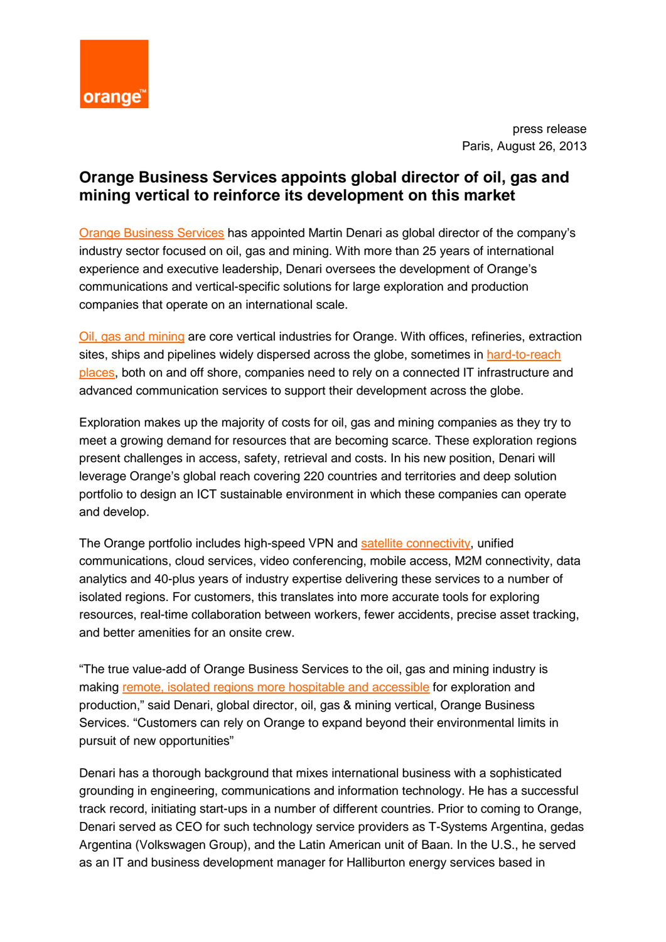

press release Paris, August 26, 2013

## **Orange Business Services appoints global director of oil, gas and mining vertical to reinforce its development on this market**

[Orange Business Services](http://www.orange-business.com/en) has appointed Martin Denari as global director of the company's industry sector focused on oil, gas and mining. With more than 25 years of international experience and executive leadership, Denari oversees the development of Orange's communications and vertical-specific solutions for large exploration and production companies that operate on an international scale.

[Oil, gas and mining](http://www.orange-business.com/en/oil-gas) are core vertical industries for Orange. With offices, refineries, extraction sites, ships and pipelines widely dispersed across the globe, sometimes in [hard-to-reach](http://www.orange-business.com/en/oil-and-gas-our-approach)  [places,](http://www.orange-business.com/en/oil-and-gas-our-approach) both on and off shore, companies need to rely on a connected IT infrastructure and advanced communication services to support their development across the globe.

Exploration makes up the majority of costs for oil, gas and mining companies as they try to meet a growing demand for resources that are becoming scarce. These exploration regions present challenges in access, safety, retrieval and costs. In his new position, Denari will leverage Orange's global reach covering 220 countries and territories and deep solution portfolio to design an ICT sustainable environment in which these companies can operate and develop.

The Orange portfolio includes high-speed VPN and [satellite connectivity,](http://www.orange-business.com/en/library/fact-sheet/satellite-services-for-the-oil-gas-industry) unified communications, cloud services, video conferencing, mobile access, M2M connectivity, data analytics and 40-plus years of industry expertise delivering these services to a number of isolated regions. For customers, this translates into more accurate tools for exploring resources, real-time collaboration between workers, fewer accidents, precise asset tracking, and better amenities for an onsite crew.

"The true value-add of Orange Business Services to the oil, gas and mining industry is making [remote, isolated regions more hospitable](http://www.orange-business.com/en/oil-and-gas-our-approach) and accessible for exploration and production," said Denari, global director, oil, gas & mining vertical, Orange Business Services. "Customers can rely on Orange to expand beyond their environmental limits in pursuit of new opportunities"

Denari has a thorough background that mixes international business with a sophisticated grounding in engineering, communications and information technology. He has a successful track record, initiating start-ups in a number of different countries. Prior to coming to Orange, Denari served as CEO for such technology service providers as T-Systems Argentina, gedas Argentina (Volkswagen Group), and the Latin American unit of Baan. In the U.S., he served as an IT and business development manager for Halliburton energy services based in